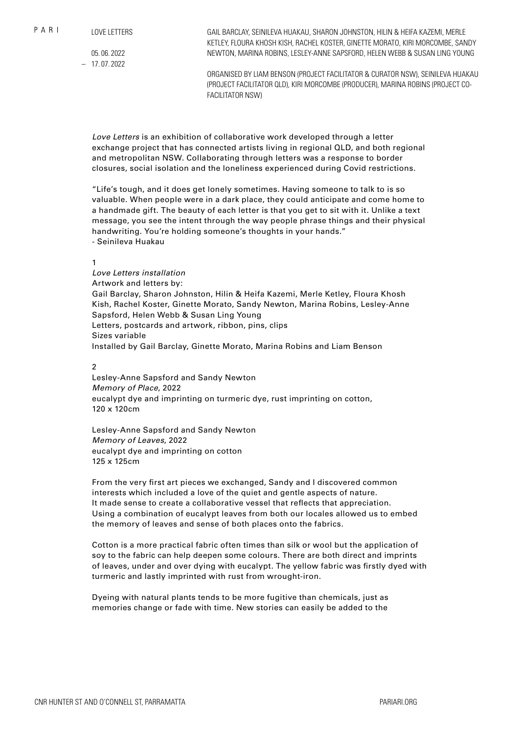05. 06. 2022 – 17. 07. 2022

GAIL BARCLAY, SEINILEVA HUAKAU, SHARON JOHNSTON, HILIN & HEIFA KAZEMI, MERLE KETLEY, FLOURA KHOSH KISH, RACHEL KOSTER, GINETTE MORATO, KIRI MORCOMBE, SANDY NEWTON, MARINA ROBINS, LESLEY-ANNE SAPSFORD, HELEN WEBB & SUSAN LING YOUNG

ORGANISED BY LIAM BENSON (PROJECT FACILITATOR & CURATOR NSW), SEINILEVA HUAKAU (PROJECT FACILITATOR QLD), KIRI MORCOMBE (PRODUCER), MARINA ROBINS (PROJECT CO-FACILITATOR NSW)

*Love Letters* is an exhibition of collaborative work developed through a letter exchange project that has connected artists living in regional QLD, and both regional and metropolitan NSW. Collaborating through letters was a response to border closures, social isolation and the loneliness experienced during Covid restrictions.

"Life's tough, and it does get lonely sometimes. Having someone to talk to is so valuable. When people were in a dark place, they could anticipate and come home to a handmade gift. The beauty of each letter is that you get to sit with it. Unlike a text message, you see the intent through the way people phrase things and their physical handwriting. You're holding someone's thoughts in your hands." - Seinileva Huakau

### 1

*Love Letters installation* Artwork and letters by: Gail Barclay, Sharon Johnston, Hilin & Heifa Kazemi, Merle Ketley, Floura Khosh Kish, Rachel Koster, Ginette Morato, Sandy Newton, Marina Robins, Lesley-Anne Sapsford, Helen Webb & Susan Ling Young Letters, postcards and artwork, ribbon, pins, clips Sizes variable Installed by Gail Barclay, Ginette Morato, Marina Robins and Liam Benson

 $\overline{2}$ 

Lesley-Anne Sapsford and Sandy Newton *Memory of Place*, 2022 eucalypt dye and imprinting on turmeric dye, rust imprinting on cotton, 120 x 120cm

Lesley-Anne Sapsford and Sandy Newton *Memory of Leaves*, 2022 eucalypt dye and imprinting on cotton 125 x 125cm

From the very first art pieces we exchanged, Sandy and I discovered common interests which included a love of the quiet and gentle aspects of nature. It made sense to create a collaborative vessel that reflects that appreciation. Using a combination of eucalypt leaves from both our locales allowed us to embed the memory of leaves and sense of both places onto the fabrics.

Cotton is a more practical fabric often times than silk or wool but the application of soy to the fabric can help deepen some colours. There are both direct and imprints of leaves, under and over dying with eucalypt. The yellow fabric was firstly dyed with turmeric and lastly imprinted with rust from wrought-iron.

Dyeing with natural plants tends to be more fugitive than chemicals, just as memories change or fade with time. New stories can easily be added to the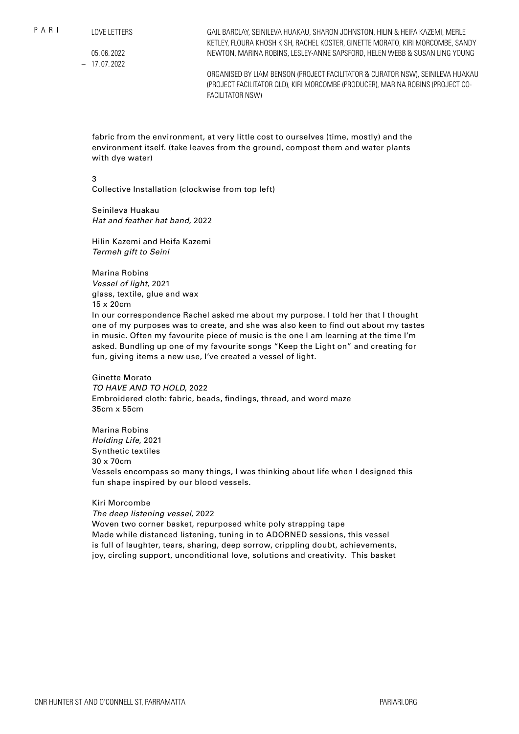$P$  A R I

LOVE LETTERS

05. 06. 2022 – 17. 07. 2022

GAIL BARCLAY, SEINILEVA HUAKAU, SHARON JOHNSTON, HILIN & HEIFA KAZEMI, MERLE KETLEY, FLOURA KHOSH KISH, RACHEL KOSTER, GINETTE MORATO, KIRI MORCOMBE, SANDY NEWTON, MARINA ROBINS, LESLEY-ANNE SAPSFORD, HELEN WEBB & SUSAN LING YOUNG

ORGANISED BY LIAM BENSON (PROJECT FACILITATOR & CURATOR NSW), SEINILEVA HUAKAU (PROJECT FACILITATOR QLD), KIRI MORCOMBE (PRODUCER), MARINA ROBINS (PROJECT CO-FACILITATOR NSW)

fabric from the environment, at very little cost to ourselves (time, mostly) and the environment itself. (take leaves from the ground, compost them and water plants with dye water)

3

Collective Installation (clockwise from top left)

Seinileva Huakau *Hat and feather hat band*, 2022

Hilin Kazemi and Heifa Kazemi *Termeh gift to Seini*

Marina Robins *Vessel of light*, 2021 glass, textile, glue and wax 15 x 20cm

In our correspondence Rachel asked me about my purpose. I told her that I thought one of my purposes was to create, and she was also keen to find out about my tastes in music. Often my favourite piece of music is the one I am learning at the time I'm asked. Bundling up one of my favourite songs "Keep the Light on" and creating for fun, giving items a new use, I've created a vessel of light.

### Ginette Morato

*TO HAVE AND TO HOLD*, 2022 Embroidered cloth: fabric, beads, findings, thread, and word maze 35cm x 55cm

Marina Robins *Holding Life*, 2021 Synthetic textiles 30 x 70cm Vessels encompass so many things, I was thinking about life when I designed this fun shape inspired by our blood vessels.

### Kiri Morcombe

*The deep listening vessel*, 2022

Woven two corner basket, repurposed white poly strapping tape Made while distanced listening, tuning in to ADORNED sessions, this vessel is full of laughter, tears, sharing, deep sorrow, crippling doubt, achievements, joy, circling support, unconditional love, solutions and creativity. This basket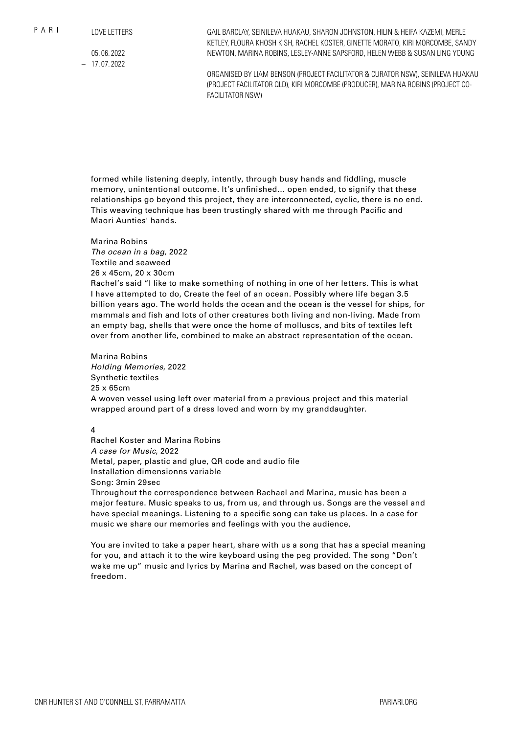```
LOVE LETTERS
```
05. 06. 2022 – 17. 07. 2022

GAIL BARCLAY, SEINILEVA HUAKAU, SHARON JOHNSTON, HILIN & HEIFA KAZEMI, MERLE KETLEY, FLOURA KHOSH KISH, RACHEL KOSTER, GINETTE MORATO, KIRI MORCOMBE, SANDY NEWTON, MARINA ROBINS, LESLEY-ANNE SAPSFORD, HELEN WEBB & SUSAN LING YOUNG

ORGANISED BY LIAM BENSON (PROJECT FACILITATOR & CURATOR NSW), SEINILEVA HUAKAU (PROJECT FACILITATOR QLD), KIRI MORCOMBE (PRODUCER), MARINA ROBINS (PROJECT CO-FACILITATOR NSW)

formed while listening deeply, intently, through busy hands and fiddling, muscle memory, unintentional outcome. It's unfinished… open ended, to signify that these relationships go beyond this project, they are interconnected, cyclic, there is no end. This weaving technique has been trustingly shared with me through Pacific and Maori Aunties' hands.

# Marina Robins

*The ocean in a bag*, 2022 Textile and seaweed 26 x 45cm, 20 x 30cm Rachel's said "I like to make something of nothing in one of her letters. This is what I have attempted to do, Create the feel of an ocean. Possibly where life began 3.5 billion years ago. The world holds the ocean and the ocean is the vessel for ships, for mammals and fish and lots of other creatures both living and non-living. Made from an empty bag, shells that were once the home of molluscs, and bits of textiles left over from another life, combined to make an abstract representation of the ocean.

Marina Robins *Holding Memories*, 2022 Synthetic textiles 25 x 65cm A woven vessel using left over material from a previous project and this material wrapped around part of a dress loved and worn by my granddaughter.

## $\overline{A}$

Rachel Koster and Marina Robins *A case for Music*, 2022 Metal, paper, plastic and glue, QR code and audio file Installation dimensionns variable Song: 3min 29sec

Throughout the correspondence between Rachael and Marina, music has been a major feature. Music speaks to us, from us, and through us. Songs are the vessel and have special meanings. Listening to a specific song can take us places. In a case for music we share our memories and feelings with you the audience,

You are invited to take a paper heart, share with us a song that has a special meaning for you, and attach it to the wire keyboard using the peg provided. The song "Don't wake me up" music and lyrics by Marina and Rachel, was based on the concept of freedom.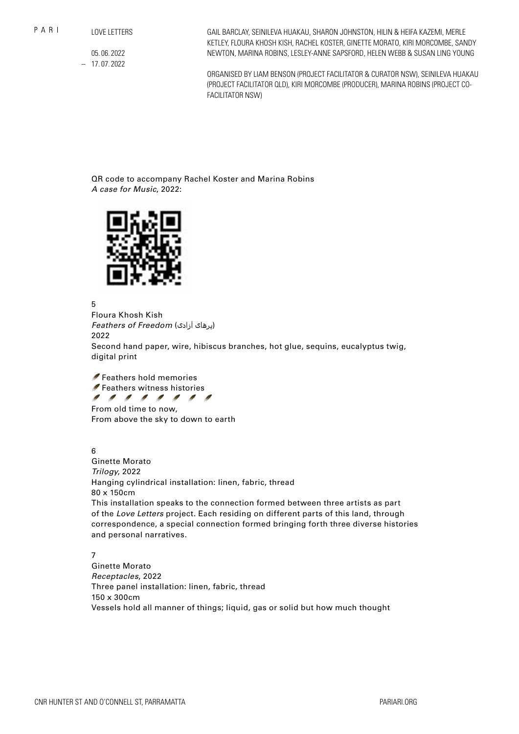05. 06. 2022 – 17. 07. 2022 GAIL BARCLAY, SEINILEVA HUAKAU, SHARON JOHNSTON, HILIN & HEIFA KAZEMI, MERLE KETLEY, FLOURA KHOSH KISH, RACHEL KOSTER, GINETTE MORATO, KIRI MORCOMBE, SANDY NEWTON, MARINA ROBINS, LESLEY-ANNE SAPSFORD, HELEN WEBB & SUSAN LING YOUNG

ORGANISED BY LIAM BENSON (PROJECT FACILITATOR & CURATOR NSW), SEINILEVA HUAKAU (PROJECT FACILITATOR QLD), KIRI MORCOMBE (PRODUCER), MARINA ROBINS (PROJECT CO-FACILITATOR NSW)

QR code to accompany Rachel Koster and Marina Robins *A case for Music*, 2022:



5

Floura Khosh Kish *Feathers of Freedom* (آزادی پرهای( 2022 Second hand paper, wire, hibiscus branches, hot glue, sequins, eucalyptus twig, digital print

 Feathers hold memories Feathers witness histories 11111111 From old time to now, From above the sky to down to earth

6

Ginette Morato *Trilogy*, 2022 Hanging cylindrical installation: linen, fabric, thread 80 x 150cm This installation speaks to the connection formed between three artists as part of the *Love Letters* project. Each residing on different parts of this land, through correspondence, a special connection formed bringing forth three diverse histories and personal narratives.

7

Ginette Morato *Receptacles*, 2022 Three panel installation: linen, fabric, thread 150 x 300cm Vessels hold all manner of things; liquid, gas or solid but how much thought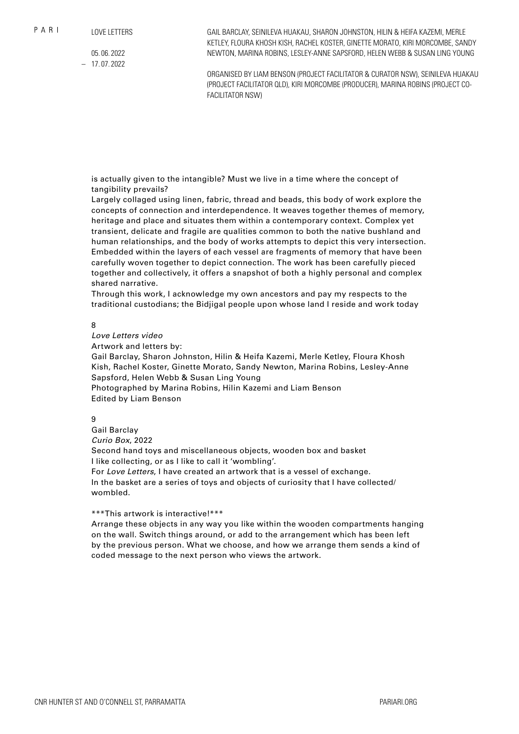05. 06. 2022 – 17. 07. 2022

GAIL BARCLAY, SEINILEVA HUAKAU, SHARON JOHNSTON, HILIN & HEIFA KAZEMI, MERLE KETLEY, FLOURA KHOSH KISH, RACHEL KOSTER, GINETTE MORATO, KIRI MORCOMBE, SANDY NEWTON, MARINA ROBINS, LESLEY-ANNE SAPSFORD, HELEN WEBB & SUSAN LING YOUNG

ORGANISED BY LIAM BENSON (PROJECT FACILITATOR & CURATOR NSW), SEINILEVA HUAKAU (PROJECT FACILITATOR QLD), KIRI MORCOMBE (PRODUCER), MARINA ROBINS (PROJECT CO-FACILITATOR NSW)

is actually given to the intangible? Must we live in a time where the concept of tangibility prevails?

Largely collaged using linen, fabric, thread and beads, this body of work explore the concepts of connection and interdependence. It weaves together themes of memory, heritage and place and situates them within a contemporary context. Complex yet transient, delicate and fragile are qualities common to both the native bushland and human relationships, and the body of works attempts to depict this very intersection. Embedded within the layers of each vessel are fragments of memory that have been carefully woven together to depict connection. The work has been carefully pieced together and collectively, it offers a snapshot of both a highly personal and complex shared narrative.

Through this work, I acknowledge my own ancestors and pay my respects to the traditional custodians; the Bidjigal people upon whose land I reside and work today

8

*Love Letters video*

Artwork and letters by:

Gail Barclay, Sharon Johnston, Hilin & Heifa Kazemi, Merle Ketley, Floura Khosh Kish, Rachel Koster, Ginette Morato, Sandy Newton, Marina Robins, Lesley-Anne Sapsford, Helen Webb & Susan Ling Young

Photographed by Marina Robins, Hilin Kazemi and Liam Benson Edited by Liam Benson

9

Gail Barclay *Curio Box*, 2022 Second hand toys and miscellaneous objects, wooden box and basket I like collecting, or as I like to call it 'wombling'. For *Love Letters*, I have created an artwork that is a vessel of exchange. In the basket are a series of toys and objects of curiosity that I have collected/ wombled.

### \*\*\*This artwork is interactive!\*\*\*

Arrange these objects in any way you like within the wooden compartments hanging on the wall. Switch things around, or add to the arrangement which has been left by the previous person. What we choose, and how we arrange them sends a kind of coded message to the next person who views the artwork.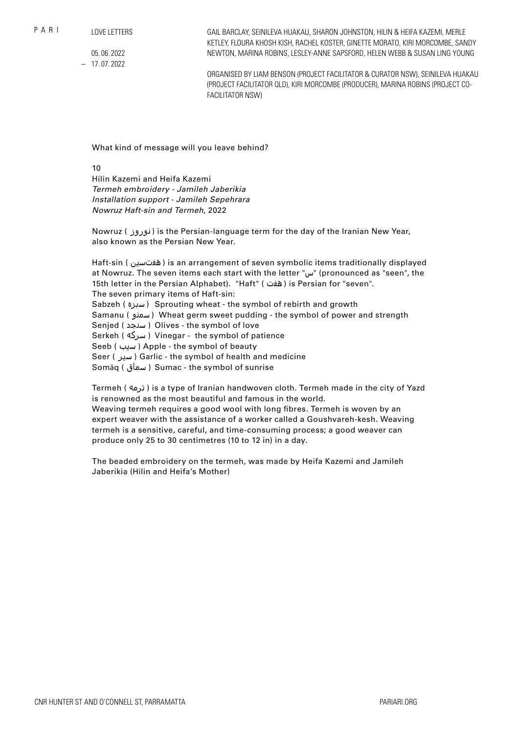$P$  A R I

```
LOVE LETTERS
```
05. 06. 2022 – 17. 07. 2022

GAIL BARCLAY, SEINILEVA HUAKAU, SHARON JOHNSTON, HILIN & HEIFA KAZEMI, MERLE KETLEY, FLOURA KHOSH KISH, RACHEL KOSTER, GINETTE MORATO, KIRI MORCOMBE, SANDY NEWTON, MARINA ROBINS, LESLEY-ANNE SAPSFORD, HELEN WEBB & SUSAN LING YOUNG

ORGANISED BY LIAM BENSON (PROJECT FACILITATOR & CURATOR NSW), SEINILEVA HUAKAU (PROJECT FACILITATOR QLD), KIRI MORCOMBE (PRODUCER), MARINA ROBINS (PROJECT CO-FACILITATOR NSW)

What kind of message will you leave behind?

10

Hilin Kazemi and Heifa Kazemi *Termeh embroidery - Jamileh Jaberikia Installation support - Jamileh Sepehrara Nowruz Haft-sin and Termeh*, 2022

Nowruz ( نوروز ( is the Persian-language term for the day of the Iranian New Year, also known as the Persian New Year.

Haft-sin ( هفتسین) is an arrangement of seven symbolic items traditionally displayed at Nowruz. The seven items each start with the letter "س) "pronounced as "seen", the 15th letter in the Persian Alphabet). "Haft" ( هفت ( is Persian for "seven". The seven primary items of Haft-sin: Sabzeh ( سبزه ( Sprouting wheat - the symbol of rebirth and growth Samanu ( سمنو ( Wheat germ sweet pudding - the symbol of power and strength Senjed ( سنجد ) Olives - the symbol of love Serkeh ( سرکه ( Vinegar - the symbol of patience Seeb ( سیب ) Apple - the symbol of beauty Seer ( سیر ( Garlic - the symbol of health and medicine Somāq ( سماق ( Sumac - the symbol of sunrise

Termeh ( ترمه) is a type of Iranian handwoven cloth. Termeh made in the city of Yazd is renowned as the most beautiful and famous in the world. Weaving termeh requires a good wool with long fibres. Termeh is woven by an expert weaver with the assistance of a worker called a Goushvareh-kesh. Weaving termeh is a sensitive, careful, and time-consuming process; a good weaver can produce only 25 to 30 centimetres (10 to 12 in) in a day.

The beaded embroidery on the termeh, was made by Heifa Kazemi and Jamileh Jaberikia (Hilin and Heifa's Mother)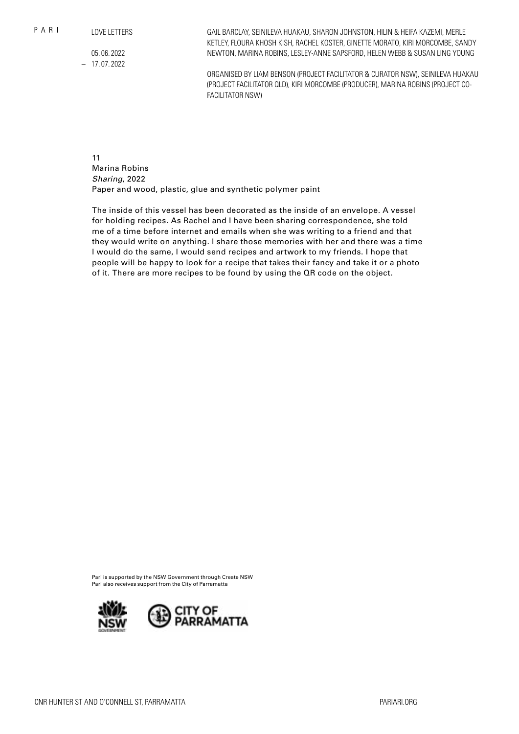$P$  A R I

LOVE LETTERS

05. 06. 2022 – 17. 07. 2022

GAIL BARCLAY, SEINILEVA HUAKAU, SHARON JOHNSTON, HILIN & HEIFA KAZEMI, MERLE KETLEY, FLOURA KHOSH KISH, RACHEL KOSTER, GINETTE MORATO, KIRI MORCOMBE, SANDY NEWTON, MARINA ROBINS, LESLEY-ANNE SAPSFORD, HELEN WEBB & SUSAN LING YOUNG

ORGANISED BY LIAM BENSON (PROJECT FACILITATOR & CURATOR NSW), SEINILEVA HUAKAU (PROJECT FACILITATOR QLD), KIRI MORCOMBE (PRODUCER), MARINA ROBINS (PROJECT CO-FACILITATOR NSW)

11 Marina Robins *Sharing*, 2022 Paper and wood, plastic, glue and synthetic polymer paint

The inside of this vessel has been decorated as the inside of an envelope. A vessel for holding recipes. As Rachel and I have been sharing correspondence, she told me of a time before internet and emails when she was writing to a friend and that they would write on anything. I share those memories with her and there was a time I would do the same, I would send recipes and artwork to my friends. I hope that people will be happy to look for a recipe that takes their fancy and take it or a photo of it. There are more recipes to be found by using the QR code on the object.

Pari is supported by the NSW Government through Create NSW Pari also receives support from the City of Parramatta